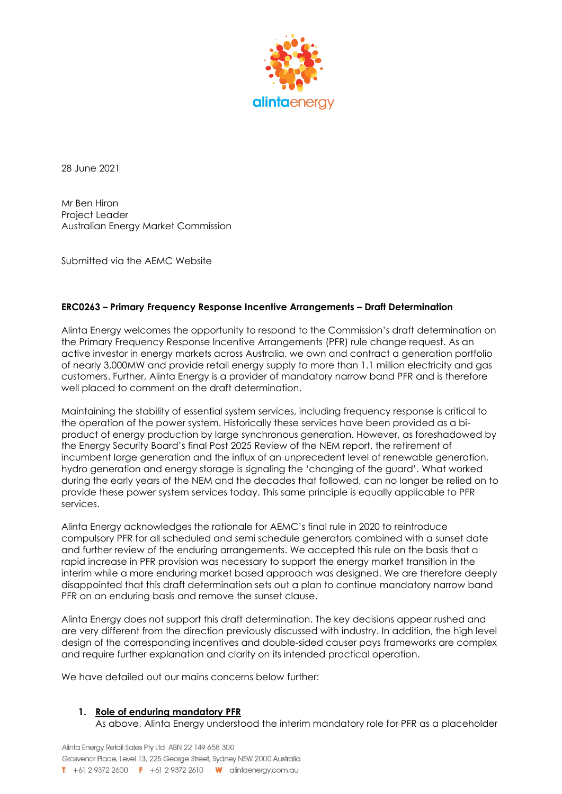

28 June 2021

Mr Ben Hiron Project Leader Australian Energy Market Commission

Submitted via the AEMC Website

### **ERC0263 – Primary Frequency Response Incentive Arrangements – Draft Determination**

Alinta Energy welcomes the opportunity to respond to the Commission's draft determination on the Primary Frequency Response Incentive Arrangements (PFR) rule change request. As an active investor in energy markets across Australia, we own and contract a generation portfolio of nearly 3,000MW and provide retail energy supply to more than 1.1 million electricity and gas customers. Further, Alinta Energy is a provider of mandatory narrow band PFR and is therefore well placed to comment on the draft determination.

Maintaining the stability of essential system services, including frequency response is critical to the operation of the power system. Historically these services have been provided as a biproduct of energy production by large synchronous generation. However, as foreshadowed by the Energy Security Board's final Post 2025 Review of the NEM report, the retirement of incumbent large generation and the influx of an unprecedent level of renewable generation, hydro generation and energy storage is signaling the 'changing of the guard'. What worked during the early years of the NEM and the decades that followed, can no longer be relied on to provide these power system services today. This same principle is equally applicable to PFR services.

Alinta Energy acknowledges the rationale for AEMC's final rule in 2020 to reintroduce compulsory PFR for all scheduled and semi schedule generators combined with a sunset date and further review of the enduring arrangements. We accepted this rule on the basis that a rapid increase in PFR provision was necessary to support the energy market transition in the interim while a more enduring market based approach was designed. We are therefore deeply disappointed that this draft determination sets out a plan to continue mandatory narrow band PFR on an enduring basis and remove the sunset clause.

Alinta Energy does not support this draft determination. The key decisions appear rushed and are very different from the direction previously discussed with industry. In addition, the high level design of the corresponding incentives and double-sided causer pays frameworks are complex and require further explanation and clarity on its intended practical operation.

We have detailed out our mains concerns below further:

#### **1. Role of enduring mandatory PFR**

As above, Alinta Energy understood the interim mandatory role for PFR as a placeholder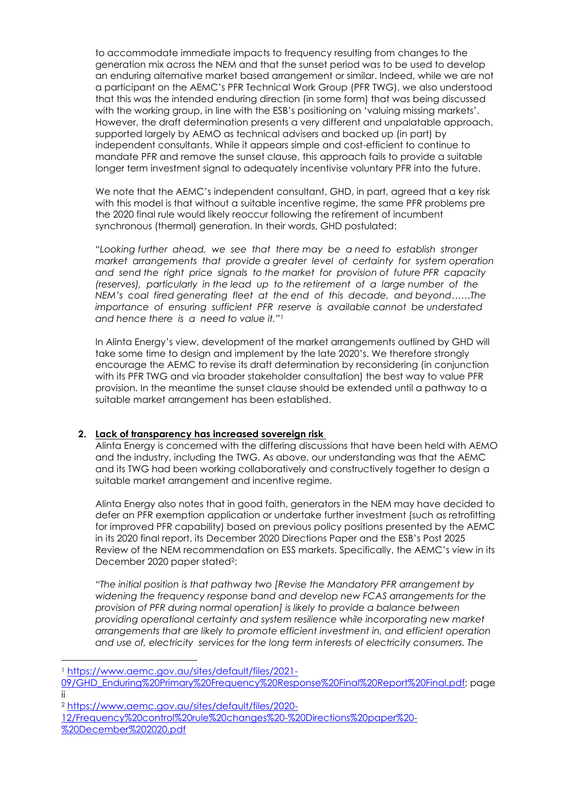to accommodate immediate impacts to frequency resulting from changes to the generation mix across the NEM and that the sunset period was to be used to develop an enduring alternative market based arrangement or similar. Indeed, while we are not a participant on the AEMC's PFR Technical Work Group (PFR TWG), we also understood that this was the intended enduring direction (in some form) that was being discussed with the working group, in line with the ESB's positioning on 'valuing missing markets'. However, the draft determination presents a very different and unpalatable approach, supported largely by AEMO as technical advisers and backed up (in part) by independent consultants. While it appears simple and cost-efficient to continue to mandate PFR and remove the sunset clause, this approach fails to provide a suitable longer term investment signal to adequately incentivise voluntary PFR into the future.

We note that the AEMC's independent consultant, GHD, in part, agreed that a key risk with this model is that without a suitable incentive regime, the same PFR problems pre the 2020 final rule would likely reoccur following the retirement of incumbent synchronous (thermal) generation. In their words, GHD postulated:

*"Looking further ahead, we see that there may be a need to establish stronger market arrangements that provide a greater level of certainty for system operation and send the right price signals to the market for provision of future PFR capacity (reserves), particularly in the lead up to the retirement of a large number of the NEM's coal fired generating fleet at the end of this decade, and beyond……The importance of ensuring sufficient PFR reserve is available cannot be understated and hence there is a need to value it." 1* 

In Alinta Energy's view, development of the market arrangements outlined by GHD will take some time to design and implement by the late 2020's. We therefore strongly encourage the AEMC to revise its draft determination by reconsidering (in conjunction with its PFR TWG and via broader stakeholder consultation) the best way to value PFR provision. In the meantime the sunset clause should be extended until a pathway to a suitable market arrangement has been established.

# **2. Lack of transparency has increased sovereign risk**

Alinta Energy is concerned with the differing discussions that have been held with AEMO and the industry, including the TWG. As above, our understanding was that the AEMC and its TWG had been working collaboratively and constructively together to design a suitable market arrangement and incentive regime.

Alinta Energy also notes that in good faith, generators in the NEM may have decided to defer an PFR exemption application or undertake further investment (such as retrofitting for improved PFR capability) based on previous policy positions presented by the AEMC in its 2020 final report, its December 2020 Directions Paper and the ESB's Post 2025 Review of the NEM recommendation on ESS markets. Specifically, the AEMC's view in its December 2020 paper stated<sup>2</sup>:

*"The initial position is that pathway two [Revise the Mandatory PFR arrangement by widening the frequency response band and develop new FCAS arrangements for the provision of PFR during normal operation] is likely to provide a balance between providing operational certainty and system resilience while incorporating new market arrangements that are likely to promote efficient investment in, and efficient operation and use of, electricity services for the long term interests of electricity consumers. The* 

<sup>1</sup> [https://www.aemc.gov.au/sites/default/files/2021-](https://www.aemc.gov.au/sites/default/files/2021-09/GHD_Enduring%20Primary%20Frequency%20Response%20Final%20Report%20Final.pdf)

[<sup>09/</sup>GHD\\_Enduring%20Primary%20Frequency%20Response%20Final%20Report%20Final.pdf;](https://www.aemc.gov.au/sites/default/files/2021-09/GHD_Enduring%20Primary%20Frequency%20Response%20Final%20Report%20Final.pdf) page ii

<sup>2</sup> [https://www.aemc.gov.au/sites/default/files/2020-](https://www.aemc.gov.au/sites/default/files/2020-12/Frequency%20control%20rule%20changes%20-%20Directions%20paper%20-%20December%202020.pdf)

[<sup>12/</sup>Frequency%20control%20rule%20changes%20-%20Directions%20paper%20-](https://www.aemc.gov.au/sites/default/files/2020-12/Frequency%20control%20rule%20changes%20-%20Directions%20paper%20-%20December%202020.pdf) [%20December%202020.pdf](https://www.aemc.gov.au/sites/default/files/2020-12/Frequency%20control%20rule%20changes%20-%20Directions%20paper%20-%20December%202020.pdf)